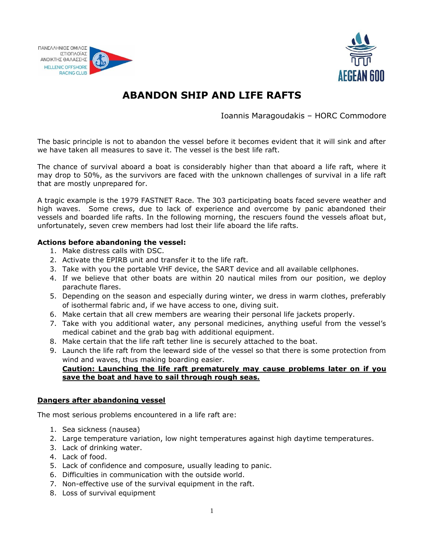



# **ABANDON SHIP AND LIFE RAFTS**

Ioannis Maragoudakis – HORC Commodore

The basic principle is not to abandon the vessel before it becomes evident that it will sink and after we have taken all measures to save it. The vessel is the best life raft.

The chance of survival aboard a boat is considerably higher than that aboard a life raft, where it may drop to 50%, as the survivors are faced with the unknown challenges of survival in a life raft that are mostly unprepared for.

A tragic example is the 1979 FASTNET Race. The 303 participating boats faced severe weather and high waves. Some crews, due to lack of experience and overcome by panic abandoned their vessels and boarded life rafts. In the following morning, the rescuers found the vessels afloat but, unfortunately, seven crew members had lost their life aboard the life rafts.

# **Actions before abandoning the vessel:**

- 1. Make distress calls with DSC.
- 2. Activate the EPIRB unit and transfer it to the life raft.
- 3. Take with you the portable VHF device, the SART device and all available cellphones.
- 4. If we believe that other boats are within 20 nautical miles from our position, we deploy parachute flares.
- 5. Depending on the season and especially during winter, we dress in warm clothes, preferably of isothermal fabric and, if we have access to one, diving suit.
- 6. Make certain that all crew members are wearing their personal life jackets properly.
- 7. Take with you additional water, any personal medicines, anything useful from the vessel's medical cabinet and the grab bag with additional equipment.
- 8. Make certain that the life raft tether line is securely attached to the boat.
- 9. Launch the life raft from the leeward side of the vessel so that there is some protection from wind and waves, thus making boarding easier.

# **Caution: Launching the life raft prematurely may cause problems later on if you save the boat and have to sail through rough seas.**

#### **Dangers after abandoning vessel**

The most serious problems encountered in a life raft are:

- 1. Sea sickness (nausea)
- 2. Large temperature variation, low night temperatures against high daytime temperatures.
- 3. Lack of drinking water.
- 4. Lack of food.
- 5. Lack of confidence and composure, usually leading to panic.
- 6. Difficulties in communication with the outside world.
- 7. Non-effective use of the survival equipment in the raft.
- 8. Loss of survival equipment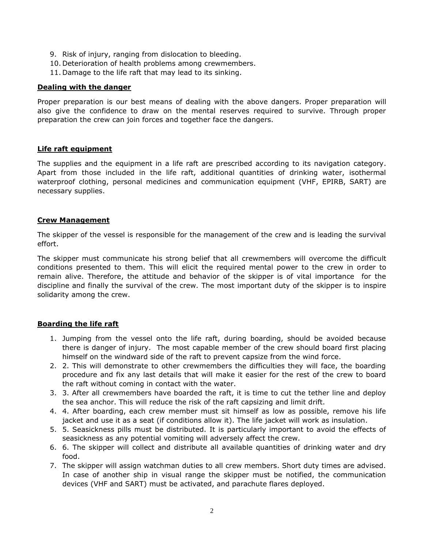- 9. Risk of injury, ranging from dislocation to bleeding.
- 10. Deterioration of health problems among crewmembers.
- 11. Damage to the life raft that may lead to its sinking.

#### **Dealing with the danger**

Proper preparation is our best means of dealing with the above dangers. Proper preparation will also give the confidence to draw on the mental reserves required to survive. Through proper preparation the crew can join forces and together face the dangers.

# **Life raft equipment**

The supplies and the equipment in a life raft are prescribed according to its navigation category. Apart from those included in the life raft, additional quantities of drinking water, isothermal waterproof clothing, personal medicines and communication equipment (VHF, EPIRB, SART) are necessary supplies.

# **Crew Management**

The skipper of the vessel is responsible for the management of the crew and is leading the survival effort.

The skipper must communicate his strong belief that all crewmembers will overcome the difficult conditions presented to them. This will elicit the required mental power to the crew in order to remain alive. Therefore, the attitude and behavior of the skipper is of vital importance for the discipline and finally the survival of the crew. The most important duty of the skipper is to inspire solidarity among the crew.

# **Boarding the life raft**

- 1. Jumping from the vessel onto the life raft, during boarding, should be avoided because there is danger of injury. The most capable member of the crew should board first placing himself on the windward side of the raft to prevent capsize from the wind force.
- 2. 2. This will demonstrate to other crewmembers the difficulties they will face, the boarding procedure and fix any last details that will make it easier for the rest of the crew to board the raft without coming in contact with the water.
- 3. 3. After all crewmembers have boarded the raft, it is time to cut the tether line and deploy the sea anchor. This will reduce the risk of the raft capsizing and limit drift.
- 4. 4. After boarding, each crew member must sit himself as low as possible, remove his life jacket and use it as a seat (if conditions allow it). The life jacket will work as insulation.
- 5. 5. Seasickness pills must be distributed. It is particularly important to avoid the effects of seasickness as any potential vomiting will adversely affect the crew.
- 6. 6. The skipper will collect and distribute all available quantities of drinking water and dry food.
- 7. The skipper will assign watchman duties to all crew members. Short duty times are advised. In case of another ship in visual range the skipper must be notified, the communication devices (VHF and SART) must be activated, and parachute flares deployed.